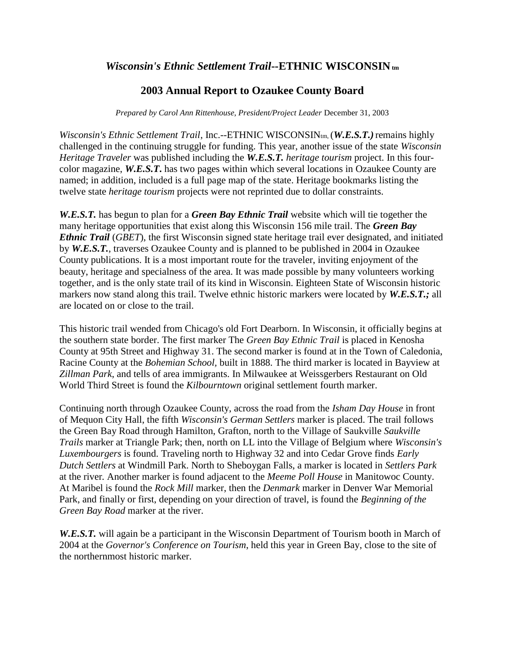## *Wisconsin's Ethnic Settlement Trail***--ETHNIC WISCONSIN**<sub>tm</sub>

## **2003 Annual Report to Ozaukee County Board**

*Prepared by Carol Ann Rittenhouse, President/Project Leader* December 31, 2003

*Wisconsin's Ethnic Settlement Trail*, Inc.--ETHNIC WISCONSIN<sub>tm</sub>, (*W.E.S.T.*) remains highly challenged in the continuing struggle for funding. This year, another issue of the state *Wisconsin Heritage Traveler* was published including the *W.E.S.T. heritage tourism* project. In this fourcolor magazine, *W.E.S.T***.** has two pages within which several locations in Ozaukee County are named; in addition, included is a full page map of the state. Heritage bookmarks listing the twelve state *heritage tourism* projects were not reprinted due to dollar constraints.

*W.E.S.T.* has begun to plan for a *Green Bay Ethnic Trail* website which will tie together the many heritage opportunities that exist along this Wisconsin 156 mile trail. The *Green Bay Ethnic Trail* (*GBET*), the first Wisconsin signed state heritage trail ever designated, and initiated by *W.E.S.T.*, traverses Ozaukee County and is planned to be published in 2004 in Ozaukee County publications. It is a most important route for the traveler, inviting enjoyment of the beauty, heritage and specialness of the area. It was made possible by many volunteers working together, and is the only state trail of its kind in Wisconsin. Eighteen State of Wisconsin historic markers now stand along this trail. Twelve ethnic historic markers were located by *W.E.S.T.;* all are located on or close to the trail.

This historic trail wended from Chicago's old Fort Dearborn. In Wisconsin, it officially begins at the southern state border. The first marker The *Green Bay Ethnic Trail* is placed in Kenosha County at 95th Street and Highway 31. The second marker is found at in the Town of Caledonia, Racine County at the *Bohemian School,* built in 1888. The third marker is located in Bayview at *Zillman Park*, and tells of area immigrants. In Milwaukee at Weissgerbers Restaurant on Old World Third Street is found the *Kilbourntown* original settlement fourth marker.

Continuing north through Ozaukee County, across the road from the *Isham Day House* in front of Mequon City Hall, the fifth *Wisconsin's German Settlers* marker is placed. The trail follows the Green Bay Road through Hamilton, Grafton, north to the Village of Saukville *Saukville Trails* marker at Triangle Park; then, north on LL into the Village of Belgium where *Wisconsin's Luxembourgers* is found. Traveling north to Highway 32 and into Cedar Grove finds *Early Dutch Settlers* at Windmill Park. North to Sheboygan Falls, a marker is located in *Settlers Park*  at the river*.* Another marker is found adjacent to the *Meeme Poll House* in Manitowoc County. At Maribel is found the *Rock Mill* marker, then the *Denmark* marker in Denver War Memorial Park, and finally or first, depending on your direction of travel, is found the *Beginning of the Green Bay Road* marker at the river.

*W.E.S.T.* will again be a participant in the Wisconsin Department of Tourism booth in March of 2004 at the *Governor's Conference on Tourism*, held this year in Green Bay, close to the site of the northernmost historic marker.